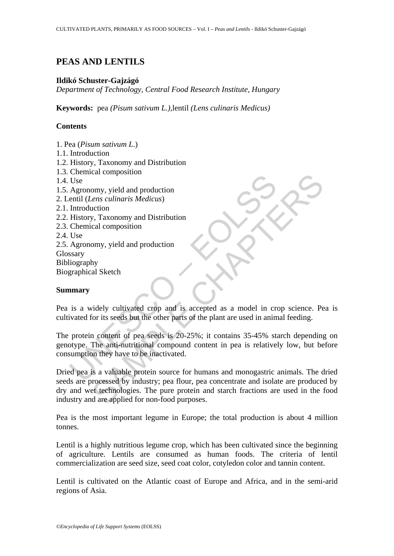# **PEAS AND LENTILS**

## **Ildikó Schuster-Gajzágó**

*Department of Technology, Central Food Research Institute, Hungary*

**Keywords:** pea *(Pisum sativum L.),*lentil *(Lens culinaris Medicus)*

# **Contents**

- 1. Pea (*Pisum sativum L*.)
- 1.1. Introduction
- 1.2. History, Taxonomy and Distribution
- 1.3. Chemical composition
- 1.4. Use
- 1.5. Agronomy, yield and production
- 2. Lentil (*Lens culinaris Medicus*)
- 2.1. Introduction
- 2.2. History, Taxonomy and Distribution
- 2.3. Chemical composition
- 2.4. Use

2.5. Agronomy, yield and production Glossary Bibliography

Biographical Sketch

# **Summary**

Pea is a widely cultivated crop and is accepted as a model in crop science. Pea is cultivated for its seeds but the other parts of the plant are used in animal feeding.

Use<br>
Use<br>
Use<br>
Agronomy, yield and production<br>
entil (*Lens culinaris Medicus*)<br>
Introduction<br>
History, Taxonomy and Distribution<br>
Use<br>
Agronomy, yield and production<br>
Use<br>
Agronomy, yield and production<br>
Use<br>
Agronomy, yi The protein content of pea seeds is 20-25%; it contains 35-45% starch depending on genotype. The anti-nutritional compound content in pea is relatively low, but before consumption they have to be inactivated.

Calcion<br>
Senset culturaris Medicus)<br>
Senset culturaris Medicus<br>
Senset culturaris Medicus<br>
Senset culturated crop and is accepted as a model in crop science. Performing<br>
Show its seeds but the other parts of the plant are Dried pea is a valuable protein source for humans and monogastric animals. The dried seeds are processed by industry; pea flour, pea concentrate and isolate are produced by dry and wet technologies. The pure protein and starch fractions are used in the food industry and are applied for non-food purposes.

Pea is the most important legume in Europe; the total production is about 4 million tonnes.

Lentil is a highly nutritious legume crop, which has been cultivated since the beginning of agriculture. Lentils are consumed as human foods. The criteria of lentil commercialization are seed size, seed coat color, cotyledon color and tannin content.

Lentil is cultivated on the Atlantic coast of Europe and Africa, and in the semi-arid regions of Asia.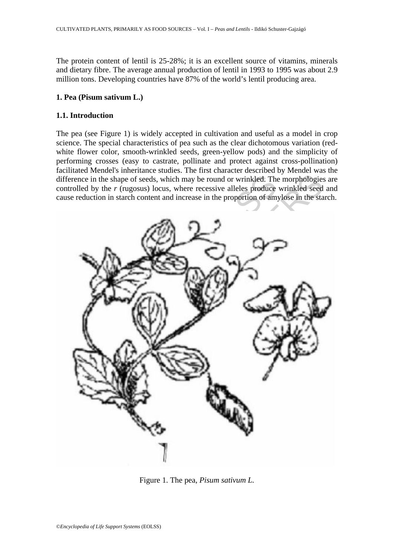The protein content of lentil is 25-28%; it is an excellent source of vitamins, minerals and dietary fibre. The average annual production of lentil in 1993 to 1995 was about 2.9 million tons. Developing countries have 87% of the world's lentil producing area.

### **1. Pea (Pisum sativum L.)**

### **1.1. Introduction**

The pea (see Figure 1) is widely accepted in cultivation and useful as a model in crop science. The special characteristics of pea such as the clear dichotomous variation (redwhite flower color, smooth-wrinkled seeds, green-yellow pods) and the simplicity of performing crosses (easy to castrate, pollinate and protect against cross-pollination) facilitated Mendel's inheritance studies. The first character described by Mendel was the difference in the shape of seeds, which may be round or wrinkled. The morphologies are controlled by the *r* (rugosus) locus, where recessive alleles produce wrinkled seed and cause reduction in starch content and increase in the proportion of amylose in the starch.



Figure 1. The pea, *Pisum sativum L.*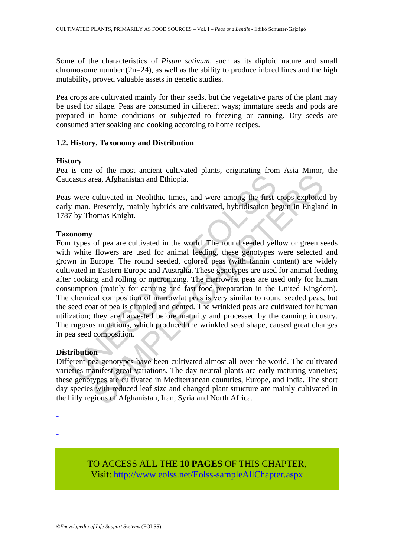Some of the characteristics of *Pisum sativum*, such as its diploid nature and small chromosome number  $(2n=24)$ , as well as the ability to produce inbred lines and the high mutability, proved valuable assets in genetic studies.

Pea crops are cultivated mainly for their seeds, but the vegetative parts of the plant may be used for silage. Peas are consumed in different ways; immature seeds and pods are prepared in home conditions or subjected to freezing or canning. Dry seeds are consumed after soaking and cooking according to home recipes.

### **1.2. History, Taxonomy and Distribution**

#### **History**

Pea is one of the most ancient cultivated plants, originating from Asia Minor, the Caucasus area, Afghanistan and Ethiopia.

Peas were cultivated in Neolithic times, and were among the first crops exploited by early man. Presently, mainly hybrids are cultivated, hybridisation begun in England in 1787 by Thomas Knight.

#### **Taxonomy**

casus area, Afghanistan and Ethiopia.<br>
So were cultivated in Neolithic times, and were among the first were cultivated in Neolithic times, and were among the first or  $7$  by Thomas Knight.<br> **Onomy**<br>
The properation of the rea, Afghanistan and Ethiopia.<br>
cultivated in Neolithic times, and were among the first crops exploited<br>
Presently, mainly hybrids are cultivated, hybridisation begun in Englan<br>
consumes Knight.<br>
To of pea are cultivated i Four types of pea are cultivated in the world. The round seeded yellow or green seeds with white flowers are used for animal feeding, these genotypes were selected and grown in Europe. The round seeded, colored peas (with tannin content) are widely cultivated in Eastern Europe and Australia. These genotypes are used for animal feeding after cooking and rolling or micronizing. The marrowfat peas are used only for human consumption (mainly for canning and fast-food preparation in the United Kingdom). The chemical composition of marrowfat peas is very similar to round seeded peas, but the seed coat of pea is dimpled and dented. The wrinkled peas are cultivated for human utilization; they are harvested before maturity and processed by the canning industry. The rugosus mutations, which produced the wrinkled seed shape, caused great changes in pea seed composition.

### **Distribution**

Different pea genotypes have been cultivated almost all over the world. The cultivated varieties manifest great variations. The day neutral plants are early maturing varieties; these genotypes are cultivated in Mediterranean countries, Europe, and India. The short day species with reduced leaf size and changed plant structure are mainly cultivated in the hilly regions of Afghanistan, Iran, Syria and North Africa.

- -
- -
- -

TO ACCESS ALL THE **10 PAGES** OF THIS CHAPTER, Visit[: http://www.eolss.net/Eolss-sampleAllChapter.aspx](https://www.eolss.net/ebooklib/sc_cart.aspx?File=E5-02-02-01)